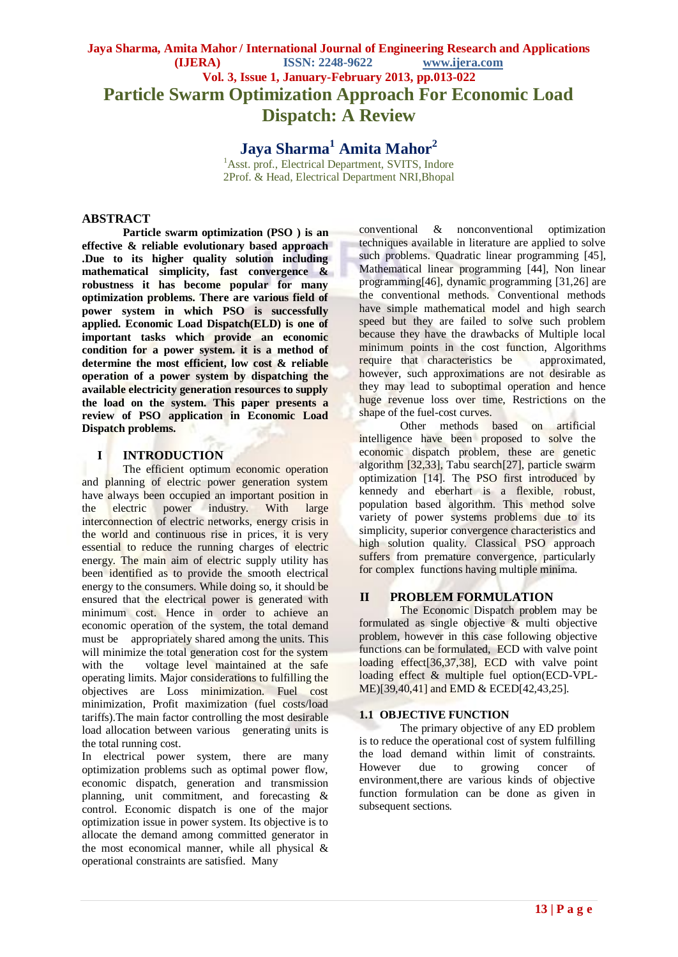# **Jaya Sharma, Amita Mahor / International Journal of Engineering Research and Applications (IJERA) ISSN: 2248-9622 www.ijera.com Vol. 3, Issue 1, January-February 2013, pp.013-022 Particle Swarm Optimization Approach For Economic Load Dispatch: A Review**

**Jaya Sharma<sup>1</sup> Amita Mahor<sup>2</sup>** <sup>1</sup>Asst. prof., Electrical Department, SVITS, Indore 2Prof. & Head, Electrical Department NRI,Bhopal

# **ABSTRACT**

**Particle swarm optimization (PSO ) is an effective & reliable evolutionary based approach .Due to its higher quality solution including mathematical simplicity, fast convergence & robustness it has become popular for many optimization problems. There are various field of power system in which PSO is successfully applied. Economic Load Dispatch(ELD) is one of important tasks which provide an economic condition for a power system. it is a method of determine the most efficient, low cost & reliable operation of a power system by dispatching the available electricity generation resources to supply the load on the system. This paper presents a review of PSO application in Economic Load Dispatch problems.**

# **I INTRODUCTION**

The efficient optimum economic operation and planning of electric power generation system have always been occupied an important position in the electric power industry. With large interconnection of electric networks, energy crisis in the world and continuous rise in prices, it is very essential to reduce the running charges of electric energy. The main aim of electric supply utility has been identified as to provide the smooth electrical energy to the consumers. While doing so, it should be ensured that the electrical power is generated with minimum cost. Hence in order to achieve an economic operation of the system, the total demand must be appropriately shared among the units. This will minimize the total generation cost for the system with the voltage level maintained at the safe operating limits. Major considerations to fulfilling the objectives are Loss minimization. Fuel cost minimization, Profit maximization (fuel costs/load tariffs).The main factor controlling the most desirable load allocation between various generating units is the total running cost.

In electrical power system, there are many optimization problems such as optimal power flow, economic dispatch, generation and transmission planning, unit commitment, and forecasting & control. Economic dispatch is one of the major optimization issue in power system. Its objective is to allocate the demand among committed generator in the most economical manner, while all physical & operational constraints are satisfied. Many

conventional & nonconventional optimization techniques available in literature are applied to solve such problems. Quadratic linear programming [45], Mathematical linear programming [44], Non linear programming[46], dynamic programming [31,26] are the conventional methods. Conventional methods have simple mathematical model and high search speed but they are failed to solve such problem because they have the drawbacks of Multiple local minimum points in the cost function, Algorithms require that characteristics be approximated, however, such approximations are not desirable as they may lead to suboptimal operation and hence huge revenue loss over time, Restrictions on the shape of the fuel-cost curves.

Other methods based on artificial intelligence have been proposed to solve the economic dispatch problem, these are genetic algorithm [32,33], Tabu search[27], particle swarm optimization [14]. The PSO first introduced by kennedy and eberhart is a flexible, robust, population based algorithm. This method solve variety of power systems problems due to its simplicity, superior convergence characteristics and high solution quality. Classical PSO approach suffers from premature convergence, particularly for complex functions having multiple minima.

# **II PROBLEM FORMULATION**

The Economic Dispatch problem may be formulated as single objective & multi objective problem, however in this case following objective functions can be formulated, ECD with valve point loading effect[36,37,38], ECD with valve point loading effect & multiple fuel option(ECD-VPL-ME)[39,40,41] and EMD & ECED[42,43,25].

# **1.1 OBJECTIVE FUNCTION**

The primary objective of any ED problem is to reduce the operational cost of system fulfilling the load demand within limit of constraints. However due to growing concer of environment,there are various kinds of objective function formulation can be done as given in subsequent sections.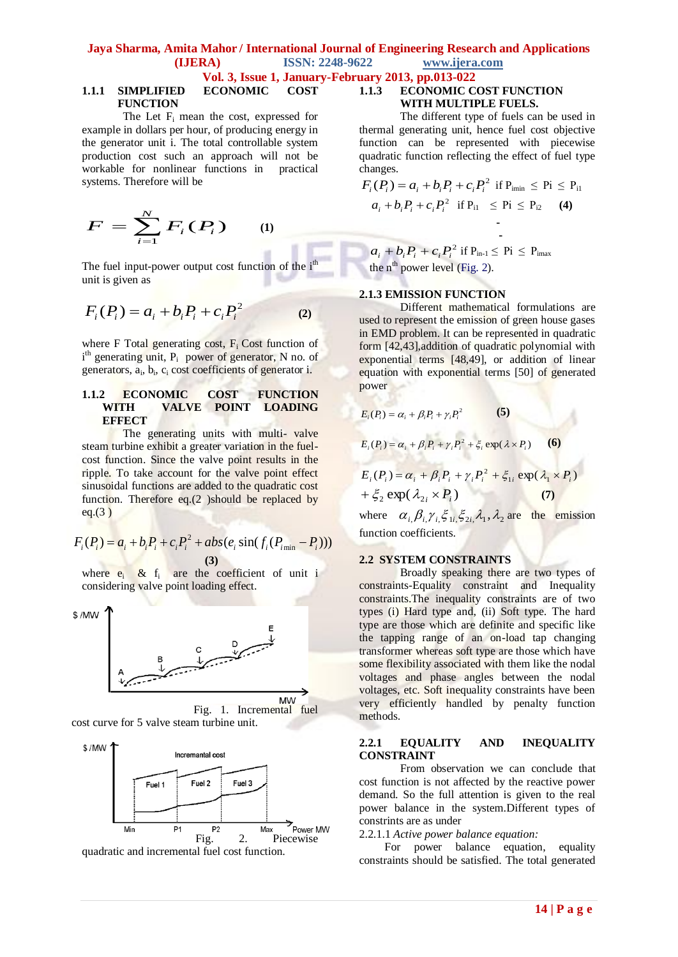# **Vol. 3, Issue 1, January-February 2013, pp.013-022**

# **1.1.1 SIMPLIFIED ECONOMIC COST FUNCTION**

The Let  $F_i$  mean the cost, expressed for example in dollars per hour, of producing energy in the generator unit i. The total controllable system production cost such an approach will not be workable for nonlinear functions in practical systems. Therefore will be

$$
F = \sum_{i=1}^{N} F_i(P_i) \qquad (1)
$$

The fuel input-power output cost function of the  $i<sup>th</sup>$ unit is given as

$$
F_i(P_i) = a_i + b_i P_i + c_i P_i^2
$$
 (2)

where  $F$  Total generating cost,  $F_i$  Cost function of i<sup>th</sup> generating unit, P<sub>i</sub> power of generator, N no. of generators, a<sub>i</sub>, b<sub>i</sub>, c<sub>i</sub> cost coefficients of generator i.

# **1.1.2 ECONOMIC COST FUNCTION WITH VALVE POINT LOADING EFFECT**

The generating units with multi- valve steam turbine exhibit a greater variation in the fuelcost function. Since the valve point results in the ripple. To take account for the valve point effect sinusoidal functions are added to the quadratic cost function. Therefore eq.(2 )should be replaced by eq.(3 )

eq.(3)  
\n
$$
F_i(P_i) = a_i + b_i P_i + c_i P_i^2 + abs(e_i sin(f_i(P_{\min} - P_i)))
$$
\n(3)  
\n(4)  
\n(5)

where  $e_i$  &  $f_i$  are the coefficient of unit i considering valve point loading effect.







# **1.1.3 ECONOMIC COST FUNCTION WITH MULTIPLE FUELS.**

The different type of fuels can be used in thermal generating unit, hence fuel cost objective function can be represented with piecewise quadratic function reflecting the effect of fuel type changes.

$$
F_i(P_i) = a_i + b_i P_i + c_i P_i^2 \text{ if } P_{\text{imin}} \leq P_i \leq P_{i1}
$$
  

$$
a_i + b_i P_i + c_i P_i^2 \text{ if } P_{i1} \leq P_i \leq P_{i2} \qquad (4)
$$

  $a_i + b_i P_i + c_i P_i^2$  if  $P_{in-1} \leq P_i \leq P_{inax}$ the  $n^{th}$  power level (Fig. 2).

### **2.1.3 EMISSION FUNCTION**

 **-**

Different mathematical formulations are used to represent the emission of green house gases in EMD problem. It can be represented in quadratic form [42,43],addition of quadratic polynomial with exponential terms [48,49], or addition of linear equation with exponential terms [50] of generated power

$$
E_i(P_i) = \alpha_i + \beta_i P_i + \gamma_i P_i^2
$$
\n(5)  
\n
$$
E_i(P_i) = \alpha_i + \beta_i P_i + \gamma_i P_i^2 + \xi_i \exp(\lambda \times P_i)
$$
\n(6)  
\n
$$
E_i(P_i) = \alpha_i + \beta_i P_i + \gamma_i P_i^2 + \xi_{1i} \exp(\lambda_1 \times P_i)
$$
\n
$$
+ \xi_2 \exp(\lambda_{2i} \times P_i)
$$
\n(7)

where  $\alpha_{i} \beta_{i} \gamma_{i} \xi_{1i} \xi_{2i} \lambda_{1}, \lambda_{2}$  are the emission function coefficients.

### **2.2 SYSTEM CONSTRAINTS**

Broadly speaking there are two types of constraints-Equality constraint and Inequality constraints.The inequality constraints are of two types (i) Hard type and, (ii) Soft type. The hard type are those which are definite and specific like the tapping range of an on-load tap changing transformer whereas soft type are those which have some flexibility associated with them like the nodal voltages and phase angles between the nodal voltages, etc. Soft inequality constraints have been very efficiently handled by penalty function methods.

#### **2.2.1 EQUALITY AND INEQUALITY CONSTRAINT**

From observation we can conclude that cost function is not affected by the reactive power demand. So the full attention is given to the real power balance in the system.Different types of constrints are as under

2.2.1.1 *Active power balance equation:*

 For power balance equation, equality constraints should be satisfied. The total generated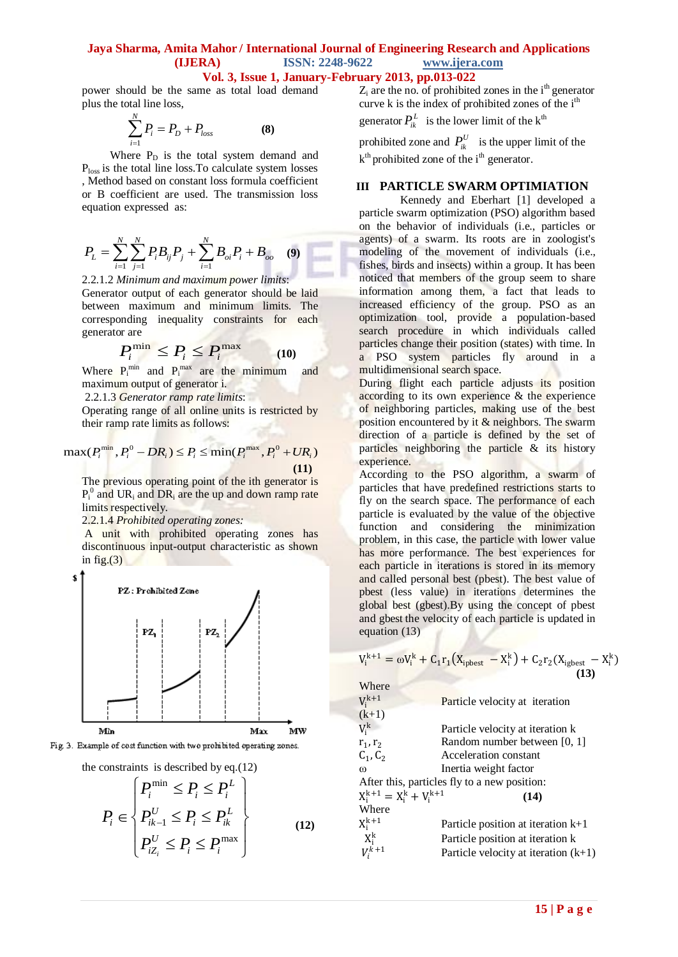m

# **Vol. 3, Issue 1, January-February 2013, pp.013-022**

power should be the same as total load demand plus the total line loss,

$$
\sum_{i=1}^{N} P_i = P_D + P_{loss}
$$
 (8)

Where  $P_D$  is the total system demand and Ploss is the total line loss.To calculate system losses , Method based on constant loss formula coefficient or B coefficient are used. The transmission loss equation expressed as:

$$
P_{L} = \sum_{i=1}^{N} \sum_{j=1}^{N} P_{i} B_{ij} P_{j} + \sum_{i=1}^{N} B_{oi} P_{i} + B_{oo} \quad (9)
$$

2.2.1.2 *Minimum and maximum power limits*: Generator output of each generator should be laid between maximum and minimum limits. The corresponding inequality constraints for each generator are

$$
P_i^{\min} \le P_i \le P_i^{\max} \tag{10}
$$

Where  $P_i^{min}$  and  $P_i^{max}$  are the minimum and maximum output of generator i.

2.2.1.3 *Generator ramp rate limits*:

Operating range of all online units is restricted by

their ramp rate limits as follows:  
\n
$$
\max(P_i^{\min}, P_i^0 - DR_i) \le P_i \le \min(P_i^{\max}, P_i^0 + UR_i)
$$
\n(11)

The previous operating point of the ith generator is  $P_i^0$  and UR<sub>i</sub> and DR<sub>i</sub> are the up and down ramp rate limits respectively.

2.2.1.4 *Prohibited operating zones:*

A unit with prohibited operating zones has discontinuous input-output characteristic as shown in fig. $(3)$ 



Fig. 3. Example of cost function with two prohibited operating zones.

the constraints is described by eq.(12)

$$
P_i \in \begin{cases} P_i^{\min} \le P_i \le P_i^L \\ P_{ik-1}^U \le P_i \le P_{ik}^L \\ P_{iZ_i}^U \le P_i \le P_i^{\max} \end{cases}
$$
 (12)

 $Z_i$  are the no. of prohibited zones in the i<sup>th</sup> generator curve k is the index of prohibited zones of the  $i<sup>th</sup>$ 

generator  $P_{ik}^L$  is the lower limit of the k<sup>th</sup>

prohibited zone and  $P_{ik}^U$  is the upper limit of the k<sup>th</sup> prohibited zone of the i<sup>th</sup> generator.

#### **III PARTICLE SWARM OPTIMIATION**

Kennedy and Eberhart [1] developed a particle swarm optimization (PSO) algorithm based on the behavior of individuals (i.e., particles or agents) of a swarm. Its roots are in zoologist's modeling of the movement of individuals (i.e., fishes, birds and insects) within a group. It has been noticed that members of the group seem to share information among them, a fact that leads to increased efficiency of the group. PSO as an optimization tool, provide a population-based search procedure in which individuals called particles change their position (states) with time. In a PSO system particles fly around in a multidimensional search space.

During flight each particle adjusts its position according to its own experience & the experience of neighboring particles, making use of the best position encountered by it  $\&$  neighbors. The swarm direction of a particle is defined by the set of particles neighboring the particle & its history experience.

According to the PSO algorithm, a swarm of particles that have predefined restrictions starts to fly on the search space. The performance of each particle is evaluated by the value of the objective function and considering the minimization problem, in this case, the particle with lower value has more performance. The best experiences for each particle in iterations is stored in its memory and called personal best (pbest). The best value of pbest (less value) in iterations determines the global best (gbest).By using the concept of pbest and gbest the velocity of each particle is updated in equation (13)

$$
V_i^{k+1} = \omega V_i^k + C_1 r_1 (X_{ipbest} - X_i^k) + C_2 r_2 (X_{igbest} - X_i^k)
$$
  
\nWhere  
\n
$$
V_i^{k+1}
$$
 Particle velocity at iteration  
\n(k+1)  
\n
$$
V_i^k
$$
 Particle velocity at iteration k  
\n
$$
r_1, r_2
$$
 Random number between [0, 1]  
\n
$$
C_1, C_2
$$
 Acceleration constant  
\n
$$
\omega
$$
 Inertia weight factor  
\nAfter this, particles fly to a new position:  
\n
$$
X_i^{k+1} = X_i^k + V_i^{k+1}
$$
 (14)  
\nWhere  
\n
$$
X_i^{k+1}
$$
 Particle position at iteration k+1  
\n
$$
X_i^k
$$
 Particle position at iteration (k+1)  
\n
$$
V_i^{k+1}
$$
 Particle velocity at iteration (k+1)

 $V_i$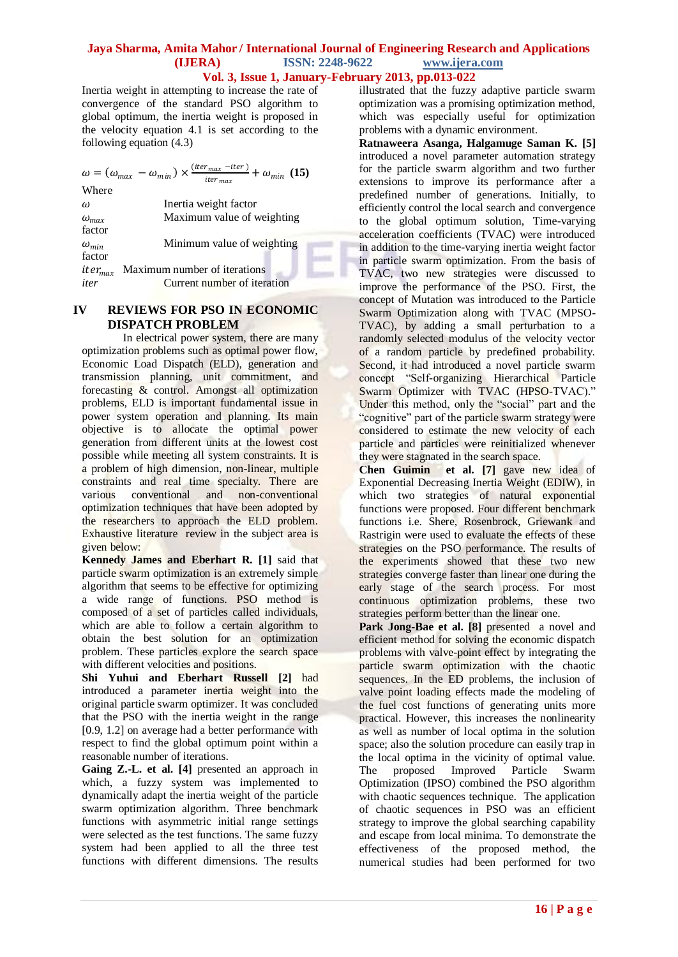Inertia weight in attempting to increase the rate of convergence of the standard PSO algorithm to global optimum, the inertia weight is proposed in the velocity equation 4.1 is set according to the following equation (4.3)

|                           | $\omega = (\omega_{max} - \omega_{min}) \times \frac{(iter_{max} - iter)}{iter_{max}} + \omega_{min}$ (15) |
|---------------------------|------------------------------------------------------------------------------------------------------------|
| Where                     |                                                                                                            |
| $\omega$                  | Inertia weight factor                                                                                      |
| $\omega_{max}$            | Maximum value of weighting                                                                                 |
| factor                    |                                                                                                            |
| $\omega_{min}$            | Minimum value of weighting                                                                                 |
| factor                    |                                                                                                            |
| <i>iter<sub>max</sub></i> | Maximum number of iterations                                                                               |
| iter                      | Current number of iteration                                                                                |

# **IV REVIEWS FOR PSO IN ECONOMIC DISPATCH PROBLEM**

In electrical power system, there are many optimization problems such as optimal power flow, Economic Load Dispatch (ELD), generation and transmission planning, unit commitment, and forecasting & control. Amongst all optimization problems, ELD is important fundamental issue in power system operation and planning. Its main objective is to allocate the optimal power generation from different units at the lowest cost possible while meeting all system constraints. It is a problem of high dimension, non-linear, multiple constraints and real time specialty. There are various conventional and non-conventional optimization techniques that have been adopted by the researchers to approach the ELD problem. Exhaustive literature review in the subject area is given below:

**Kennedy James and Eberhart R. [1]** said that particle swarm optimization is an extremely simple algorithm that seems to be effective for optimizing a wide range of functions. PSO method is composed of a set of particles called individuals, which are able to follow a certain algorithm to obtain the best solution for an optimization problem. These particles explore the search space with different velocities and positions.

**Shi Yuhui and Eberhart Russell [2]** had introduced a parameter inertia weight into the original particle swarm optimizer. It was concluded that the PSO with the inertia weight in the range [0.9, 1.2] on average had a better performance with respect to find the global optimum point within a reasonable number of iterations.

**Gaing Z.-L. et al. [4]** presented an approach in which, a fuzzy system was implemented to dynamically adapt the inertia weight of the particle swarm optimization algorithm. Three benchmark functions with asymmetric initial range settings were selected as the test functions. The same fuzzy system had been applied to all the three test functions with different dimensions. The results

illustrated that the fuzzy adaptive particle swarm optimization was a promising optimization method, which was especially useful for optimization problems with a dynamic environment.

**Ratnaweera Asanga, Halgamuge Saman K. [5]**  introduced a novel parameter automation strategy for the particle swarm algorithm and two further extensions to improve its performance after a predefined number of generations. Initially, to efficiently control the local search and convergence to the global optimum solution, Time-varying acceleration coefficients (TVAC) were introduced in addition to the time-varying inertia weight factor in particle swarm optimization. From the basis of TVAC, two new strategies were discussed to improve the performance of the PSO. First, the concept of Mutation was introduced to the Particle Swarm Optimization along with TVAC (MPSO-TVAC), by adding a small perturbation to a randomly selected modulus of the velocity vector of a random particle by predefined probability. Second, it had introduced a novel particle swarm concept "Self-organizing Hierarchical Particle Swarm Optimizer with TVAC (HPSO-TVAC)." Under this method, only the "social" part and the "cognitive" part of the particle swarm strategy were considered to estimate the new velocity of each particle and particles were reinitialized whenever they were stagnated in the search space.

**Chen Guimin et al. [7]** gave new idea of Exponential Decreasing Inertia Weight (EDIW), in which two strategies of natural exponential functions were proposed. Four different benchmark functions i.e. Shere, Rosenbrock, Griewank and Rastrigin were used to evaluate the effects of these strategies on the PSO performance. The results of the experiments showed that these two new strategies converge faster than linear one during the early stage of the search process. For most continuous optimization problems, these two strategies perform better than the linear one.

Park Jong-Bae et al. [8] presented a novel and efficient method for solving the economic dispatch problems with valve-point effect by integrating the particle swarm optimization with the chaotic sequences. In the ED problems, the inclusion of valve point loading effects made the modeling of the fuel cost functions of generating units more practical. However, this increases the nonlinearity as well as number of local optima in the solution space; also the solution procedure can easily trap in the local optima in the vicinity of optimal value. The proposed Improved Particle Swarm Optimization (IPSO) combined the PSO algorithm with chaotic sequences technique. The application of chaotic sequences in PSO was an efficient strategy to improve the global searching capability and escape from local minima. To demonstrate the effectiveness of the proposed method, the numerical studies had been performed for two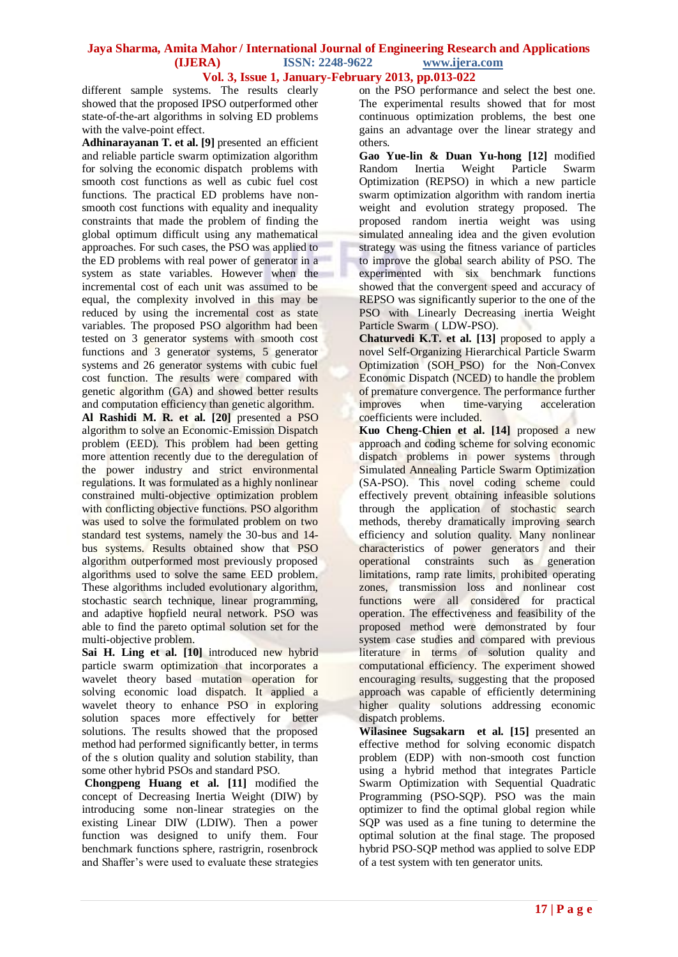different sample systems. The results clearly showed that the proposed IPSO outperformed other state-of-the-art algorithms in solving ED problems with the valve-point effect.

Adhinarayanan T. et al. [9] presented an efficient and reliable particle swarm optimization algorithm for solving the economic dispatch problems with smooth cost functions as well as cubic fuel cost functions. The practical ED problems have nonsmooth cost functions with equality and inequality constraints that made the problem of finding the global optimum difficult using any mathematical approaches. For such cases, the PSO was applied to the ED problems with real power of generator in a system as state variables. However when the incremental cost of each unit was assumed to be equal, the complexity involved in this may be reduced by using the incremental cost as state variables. The proposed PSO algorithm had been tested on 3 generator systems with smooth cost functions and 3 generator systems, 5 generator systems and 26 generator systems with cubic fuel cost function. The results were compared with genetic algorithm (GA) and showed better results and computation efficiency than genetic algorithm.

**Al Rashidi M. R. et al. [20]** presented a PSO algorithm to solve an Economic-Emission Dispatch problem (EED). This problem had been getting more attention recently due to the deregulation of the power industry and strict environmental regulations. It was formulated as a highly nonlinear constrained multi-objective optimization problem with conflicting objective functions. PSO algorithm was used to solve the formulated problem on two standard test systems, namely the 30-bus and 14 bus systems. Results obtained show that PSO algorithm outperformed most previously proposed algorithms used to solve the same EED problem. These algorithms included evolutionary algorithm, stochastic search technique, linear programming, and adaptive hopfield neural network. PSO was able to find the pareto optimal solution set for the multi-objective problem.

**Sai H. Ling et al. [10]** introduced new hybrid particle swarm optimization that incorporates a wavelet theory based mutation operation for solving economic load dispatch. It applied a wavelet theory to enhance PSO in exploring solution spaces more effectively for better solutions. The results showed that the proposed method had performed significantly better, in terms of the s olution quality and solution stability, than some other hybrid PSOs and standard PSO.

**Chongpeng Huang et al. [11]** modified the concept of Decreasing Inertia Weight (DIW) by introducing some non-linear strategies on the existing Linear DIW (LDIW). Then a power function was designed to unify them. Four benchmark functions sphere, rastrigrin, rosenbrock and Shaffer's were used to evaluate these strategies on the PSO performance and select the best one. The experimental results showed that for most continuous optimization problems, the best one gains an advantage over the linear strategy and others.

**Gao Yue-lin & Duan Yu-hong [12]** modified Random Inertia Weight Particle Swarm Optimization (REPSO) in which a new particle swarm optimization algorithm with random inertia weight and evolution strategy proposed. The proposed random inertia weight was using simulated annealing idea and the given evolution strategy was using the fitness variance of particles to improve the global search ability of PSO. The experimented with six benchmark functions showed that the convergent speed and accuracy of REPSO was significantly superior to the one of the PSO with Linearly Decreasing inertia Weight Particle Swarm ( LDW-PSO).

**Chaturvedi K.T. et al. [13]** proposed to apply a novel Self-Organizing Hierarchical Particle Swarm Optimization (SOH\_PSO) for the Non-Convex Economic Dispatch (NCED) to handle the problem of premature convergence. The performance further improves when time-varying acceleration coefficients were included.

**Kuo Cheng-Chien et al. [14]** proposed a new approach and coding scheme for solving economic dispatch problems in power systems through Simulated Annealing Particle Swarm Optimization (SA-PSO). This novel coding scheme could effectively prevent obtaining infeasible solutions through the application of stochastic search methods, thereby dramatically improving search efficiency and solution quality. Many nonlinear characteristics of power generators and their operational constraints such as generation limitations, ramp rate limits, prohibited operating zones, transmission loss and nonlinear cost functions were all considered for practical operation. The effectiveness and feasibility of the proposed method were demonstrated by four system case studies and compared with previous literature in terms of solution quality and computational efficiency. The experiment showed encouraging results, suggesting that the proposed approach was capable of efficiently determining higher quality solutions addressing economic dispatch problems.

**Wilasinee Sugsakarn et al. [15]** presented an effective method for solving economic dispatch problem (EDP) with non-smooth cost function using a hybrid method that integrates Particle Swarm Optimization with Sequential Quadratic Programming (PSO-SQP). PSO was the main optimizer to find the optimal global region while SQP was used as a fine tuning to determine the optimal solution at the final stage. The proposed hybrid PSO-SQP method was applied to solve EDP of a test system with ten generator units.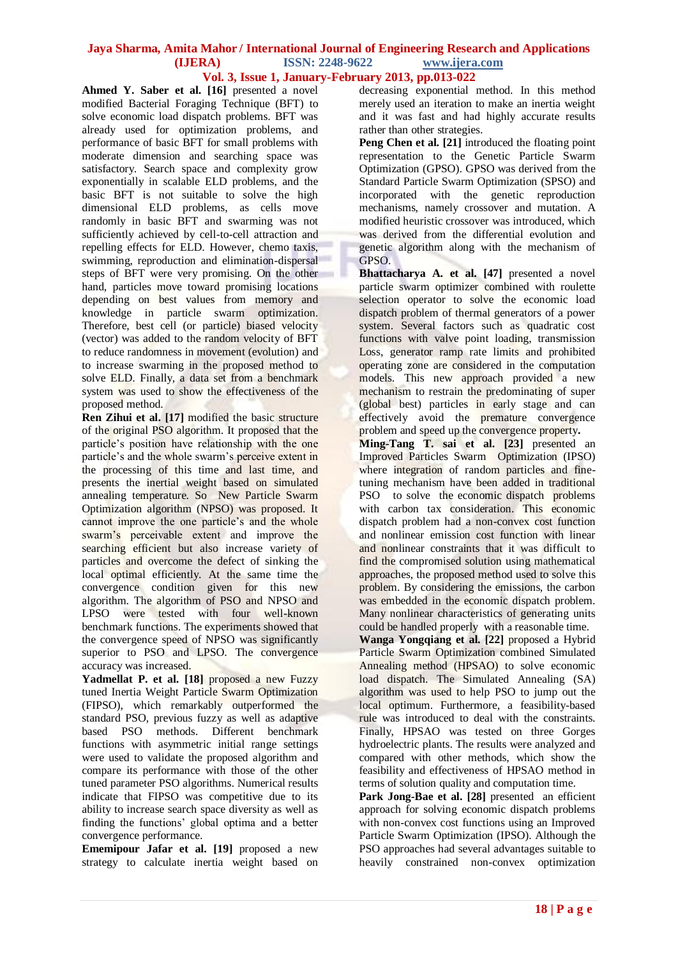**Ahmed Y. Saber et al. [16]** presented a novel modified Bacterial Foraging Technique (BFT) to solve economic load dispatch problems. BFT was already used for optimization problems, and performance of basic BFT for small problems with moderate dimension and searching space was satisfactory. Search space and complexity grow exponentially in scalable ELD problems, and the basic BFT is not suitable to solve the high dimensional ELD problems, as cells move randomly in basic BFT and swarming was not sufficiently achieved by cell-to-cell attraction and repelling effects for ELD. However, chemo taxis, swimming, reproduction and elimination-dispersal steps of BFT were very promising. On the other hand, particles move toward promising locations depending on best values from memory and knowledge in particle swarm optimization. Therefore, best cell (or particle) biased velocity (vector) was added to the random velocity of BFT to reduce randomness in movement (evolution) and to increase swarming in the proposed method to solve ELD. Finally, a data set from a benchmark system was used to show the effectiveness of the proposed method.

**Ren Zihui et al.** [17] modified the basic structure of the original PSO algorithm. It proposed that the particle's position have relationship with the one particle's and the whole swarm's perceive extent in the processing of this time and last time, and presents the inertial weight based on simulated annealing temperature. So New Particle Swarm Optimization algorithm (NPSO) was proposed. It cannot improve the one particle's and the whole swarm's perceivable extent and improve the searching efficient but also increase variety of particles and overcome the defect of sinking the local optimal efficiently. At the same time the convergence condition given for this new algorithm. The algorithm of PSO and NPSO and LPSO were tested with four well-known benchmark functions. The experiments showed that the convergence speed of NPSO was significantly superior to PSO and LPSO. The convergence accuracy was increased.

Yadmellat P. et al. [18] proposed a new Fuzzy tuned Inertia Weight Particle Swarm Optimization (FIPSO), which remarkably outperformed the standard PSO, previous fuzzy as well as adaptive based PSO methods. Different benchmark functions with asymmetric initial range settings were used to validate the proposed algorithm and compare its performance with those of the other tuned parameter PSO algorithms. Numerical results indicate that FIPSO was competitive due to its ability to increase search space diversity as well as finding the functions' global optima and a better convergence performance.

**Ememipour Jafar et al. [19]** proposed a new strategy to calculate inertia weight based on decreasing exponential method. In this method merely used an iteration to make an inertia weight and it was fast and had highly accurate results rather than other strategies.

**Peng Chen et al. [21]** introduced the floating point representation to the Genetic Particle Swarm Optimization (GPSO). GPSO was derived from the Standard Particle Swarm Optimization (SPSO) and incorporated with the genetic reproduction mechanisms, namely crossover and mutation. A modified heuristic crossover was introduced, which was derived from the differential evolution and genetic algorithm along with the mechanism of GPSO.

**Bhattacharya A. et al. [47]** presented a novel particle swarm optimizer combined with roulette selection operator to solve the economic load dispatch problem of thermal generators of a power system. Several factors such as quadratic cost functions with valve point loading, transmission Loss, generator ramp rate limits and prohibited operating zone are considered in the computation models. This new approach provided a new mechanism to restrain the predominating of super (global best) particles in early stage and can effectively avoid the **premature** convergence problem and speed up the convergence property**.**

**Ming-Tang T. sai et al. [23]** presented an Improved Particles Swarm Optimization (IPSO) where integration of random particles and finetuning mechanism have been added in traditional PSO to solve the economic dispatch problems with carbon tax consideration. This economic dispatch problem had a non-convex cost function and nonlinear emission cost function with linear and nonlinear constraints that it was difficult to find the compromised solution using mathematical approaches, the proposed method used to solve this problem. By considering the emissions, the carbon was embedded in the economic dispatch problem. Many nonlinear characteristics of generating units could be handled properly with a reasonable time.

**Wanga Yongqiang et al. [22]** proposed a Hybrid Particle Swarm Optimization combined Simulated Annealing method (HPSAO) to solve economic load dispatch. The Simulated Annealing (SA) algorithm was used to help PSO to jump out the local optimum. Furthermore, a feasibility-based rule was introduced to deal with the constraints. Finally, HPSAO was tested on three Gorges hydroelectric plants. The results were analyzed and compared with other methods, which show the feasibility and effectiveness of HPSAO method in terms of solution quality and computation time.

**Park Jong-Bae et al. [28]** presented an efficient approach for solving economic dispatch problems with non-convex cost functions using an Improved Particle Swarm Optimization (IPSO). Although the PSO approaches had several advantages suitable to heavily constrained non-convex optimization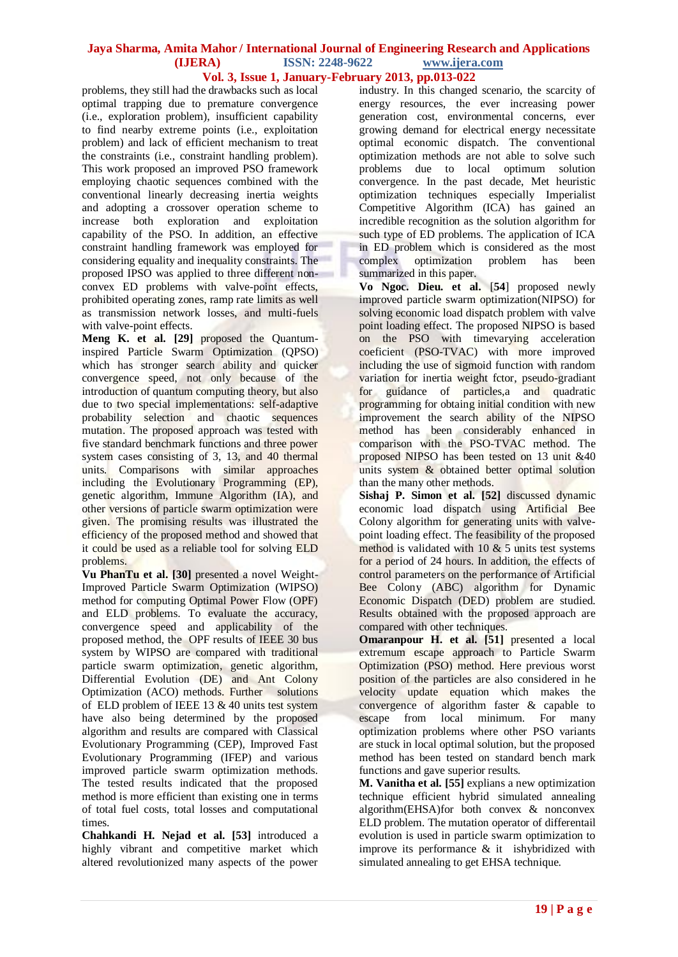problems, they still had the drawbacks such as local optimal trapping due to premature convergence (i.e., exploration problem), insufficient capability to find nearby extreme points (i.e., exploitation problem) and lack of efficient mechanism to treat the constraints (i.e., constraint handling problem). This work proposed an improved PSO framework employing chaotic sequences combined with the conventional linearly decreasing inertia weights and adopting a crossover operation scheme to increase both exploration and exploitation capability of the PSO. In addition, an effective constraint handling framework was employed for considering equality and inequality constraints. The proposed IPSO was applied to three different nonconvex ED problems with valve-point effects, prohibited operating zones, ramp rate limits as well as transmission network losses, and multi-fuels with valve-point effects.

**Meng K. et al. [29]** proposed the Quantuminspired Particle Swarm Optimization (QPSO) which has stronger search ability and quicker convergence speed, not only because of the introduction of quantum computing theory, but also due to two special implementations: self-adaptive probability selection and chaotic sequences mutation. The proposed approach was tested with five standard benchmark functions and three power system cases consisting of 3, 13, and 40 thermal units. Comparisons with similar approaches including the Evolutionary Programming (EP), genetic algorithm, Immune Algorithm (IA), and other versions of particle swarm optimization were given. The promising results was illustrated the efficiency of the proposed method and showed that it could be used as a reliable tool for solving ELD problems.

**Vu PhanTu et al. [30]** presented a novel Weight-Improved Particle Swarm Optimization (WIPSO) method for computing Optimal Power Flow (OPF) and ELD problems. To evaluate the accuracy, convergence speed and applicability of the proposed method, the OPF results of IEEE 30 bus system by WIPSO are compared with traditional particle swarm optimization, genetic algorithm, Differential Evolution (DE) and Ant Colony Optimization (ACO) methods. Further solutions of ELD problem of IEEE  $13 \& 40$  units test system have also being determined by the proposed algorithm and results are compared with Classical Evolutionary Programming (CEP), Improved Fast Evolutionary Programming (IFEP) and various improved particle swarm optimization methods. The tested results indicated that the proposed method is more efficient than existing one in terms of total fuel costs, total losses and computational times.

**Chahkandi H. Nejad et al. [53]** introduced a highly vibrant and competitive market which altered revolutionized many aspects of the power

industry. In this changed scenario, the scarcity of energy resources, the ever increasing power generation cost, environmental concerns, ever growing demand for electrical energy necessitate optimal economic dispatch. The conventional optimization methods are not able to solve such problems due to local optimum solution convergence. In the past decade, Met heuristic optimization techniques especially Imperialist Competitive Algorithm (ICA) has gained an incredible recognition as the solution algorithm for such type of ED problems. The application of ICA in ED problem which is considered as the most complex optimization problem has been summarized in this paper.

**Vo Ngoc. Dieu. et al.** [**54**] proposed newly improved particle swarm optimization(NIPSO) for solving economic load dispatch problem with valve point loading effect. The proposed NIPSO is based on the PSO with timevarying acceleration coeficient (PSO-TVAC) with more improved including the use of sigmoid function with random variation for inertia weight fctor, pseudo-gradiant for guidance of particles,a and quadratic programming for obtaing initial condition with new improvement the search ability of the NIPSO method has been considerably enhanced in comparison with the PSO-TVAC method. The proposed NIPSO has been tested on 13 unit &40 units system & obtained better optimal solution than the many other methods.

**Sishaj P. Simon et al. [52]** discussed dynamic economic load dispatch using Artificial Bee Colony algorithm for generating units with valvepoint loading effect. The feasibility of the proposed method is validated with  $10 \& 5$  units test systems for a period of 24 hours. In addition, the effects of control parameters on the performance of Artificial Bee Colony (ABC) algorithm for Dynamic Economic Dispatch (DED) problem are studied. Results obtained with the proposed approach are compared with other techniques.

**Omaranpour H. et al. [51]** presented a local extremum escape approach to Particle Swarm Optimization (PSO) method. Here previous worst position of the particles are also considered in he velocity update equation which makes the convergence of algorithm faster & capable to escape from local minimum. For many optimization problems where other PSO variants are stuck in local optimal solution, but the proposed method has been tested on standard bench mark functions and gave superior results.

**M. Vanitha et al. [55]** explians a new optimization technique efficient hybrid simulated annealing algorithm(EHSA)for both convex & nonconvex ELD problem. The mutation operator of differentail evolution is used in particle swarm optimization to improve its performance & it ishybridized with simulated annealing to get EHSA technique.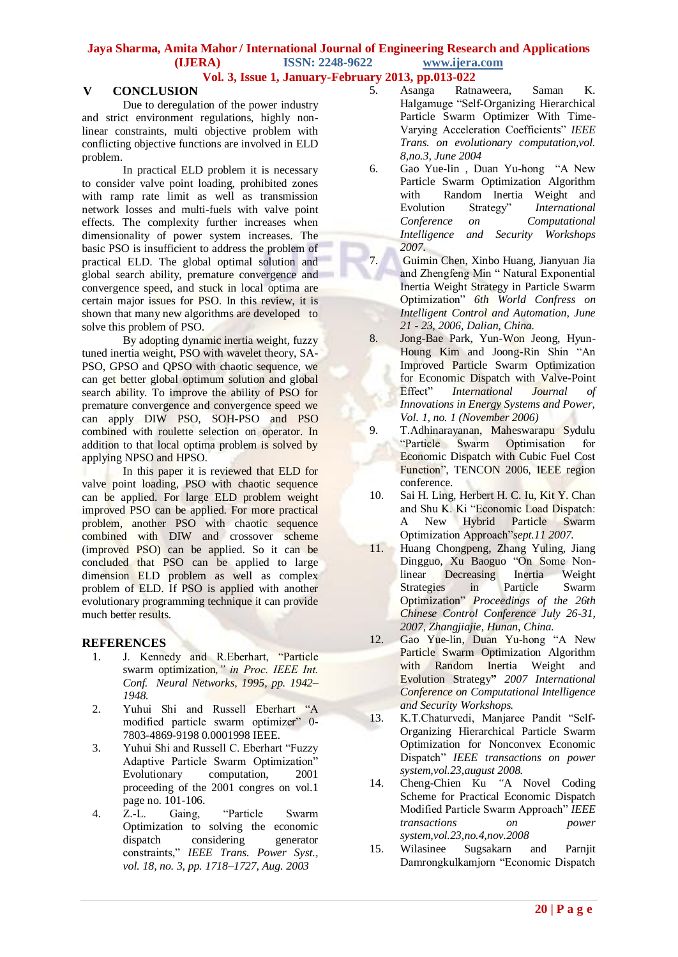# **V CONCLUSION**

Due to deregulation of the power industry and strict environment regulations, highly nonlinear constraints, multi objective problem with conflicting objective functions are involved in ELD problem.

In practical ELD problem it is necessary to consider valve point loading, prohibited zones with ramp rate limit as well as transmission network losses and multi-fuels with valve point effects. The complexity further increases when dimensionality of power system increases. The basic PSO is insufficient to address the problem of practical ELD. The global optimal solution and global search ability, premature convergence and convergence speed, and stuck in local optima are certain major issues for PSO. In this review, it is shown that many new algorithms are developed to solve this problem of PSO.

By adopting dynamic inertia weight, fuzzy tuned inertia weight, PSO with wavelet theory, SA-PSO, GPSO and QPSO with chaotic sequence, we can get better global optimum solution and global search ability. To improve the ability of PSO for premature convergence and convergence speed we can apply DIW PSO, SOH-PSO and PSO combined with roulette selection on operator. In addition to that local optima problem is solved by applying NPSO and HPSO.

In this paper it is reviewed that ELD for valve point loading, PSO with chaotic sequence can be applied. For large ELD problem weight improved PSO can be applied. For more practical problem, another PSO with chaotic sequence combined with DIW and crossover scheme (improved PSO) can be applied. So it can be concluded that PSO can be applied to large dimension ELD problem as well as complex problem of ELD. If PSO is applied with another evolutionary programming technique it can provide much better results.

### **REFERENCES**

- 1. J. Kennedy and R.Eberhart, "Particle swarm optimization*," in Proc. IEEE Int. Conf. Neural Networks, 1995, pp. 1942– 1948.*
- 2. Yuhui Shi and Russell Eberhart "A modified particle swarm optimizer" 0- 7803-4869-9198 0.0001998 IEEE.
- 3. Yuhui Shi and Russell C. Eberhart "Fuzzy Adaptive Particle Swarm Optimization" Evolutionary computation, 2001 proceeding of the 2001 congres on vol.1 page no. 101-106.
- 4. Z.-L. Gaing, "Particle Swarm Optimization to solving the economic dispatch considering generator constraints," *IEEE Trans. Power Syst., vol. 18, no. 3, pp. 1718–1727, Aug. 2003*
- 5. Asanga Ratnaweera, Saman K. Halgamuge "Self-Organizing Hierarchical Particle Swarm Optimizer With Time-Varying Acceleration Coefficients" *IEEE Trans. on evolutionary computation,vol. 8,no.3, June 2004*
- 6. Gao Yue-lin , Duan Yu-hong "A New Particle Swarm Optimization Algorithm with Random Inertia Weight and Evolution Strategy" *International Conference on Computational Intelligence and Security Workshops 2007.*
- 7. Guimin Chen, Xinbo Huang, Jianyuan Jia and Zhengfeng Min " Natural Exponential Inertia Weight Strategy in Particle Swarm Optimization" *6th World Confress on Intelligent Control and Automation, June 21 - 23, 2006, Dalian, China.*
- 8. Jong-Bae Park, Yun-Won Jeong, Hyun-Houng Kim and Joong-Rin Shin "An Improved Particle Swarm Optimization for Economic Dispatch with Valve-Point Effect" *International Journal of Innovations in Energy Systems and Power, Vol. 1, no. 1 (November 2006)*
- 9. T.Adhinarayanan, Maheswarapu Sydulu "Particle Swarm Optimisation for Economic Dispatch with Cubic Fuel Cost Function", TENCON 2006, IEEE region conference.
- 10. Sai H. Ling, Herbert H. C. Iu, Kit Y. Chan and Shu K. Ki "Economic Load Dispatch: A New Hybrid Particle Swarm Optimization Approach"*sept.11 2007.*
- 11. Huang Chongpeng, Zhang Yuling, Jiang Dingguo, Xu Baoguo "On Some Nonlinear Decreasing Inertia Weight Strategies in Particle Swarm Optimization" *Proceedings of the 26th Chinese Control Conference July 26-31, 2007, Zhangjiajie, Hunan, China.*
- 12. Gao Yue-lin, Duan Yu-hong "A New Particle Swarm Optimization Algorithm with Random Inertia Weight and Evolution Strategy**"** *2007 International Conference on Computational Intelligence and Security Workshops.*
- 13. K.T.Chaturvedi, Manjaree Pandit "Self-Organizing Hierarchical Particle Swarm Optimization for Nonconvex Economic Dispatch" *IEEE transactions on power system,vol.23,august 2008.*
- 14. Cheng-Chien Ku *"*A Novel Coding Scheme for Practical Economic Dispatch Modified Particle Swarm Approach" *IEEE transactions on power system,vol.23,no.4,nov.2008*
- 15. Wilasinee Sugsakarn and Parnjit Damrongkulkamjorn "Economic Dispatch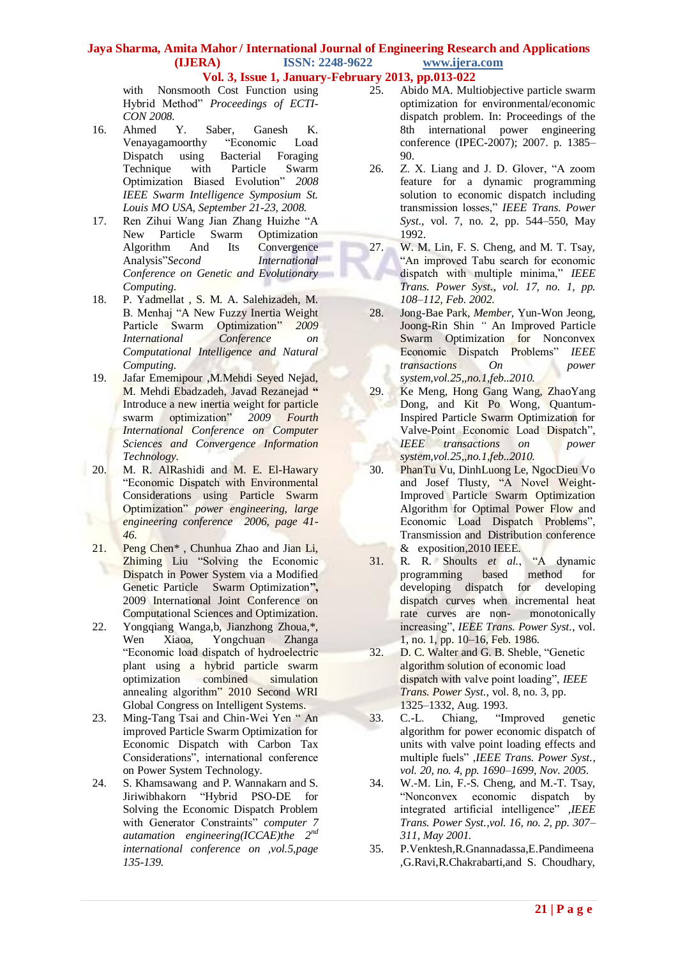**Vol. 3, Issue 1, January-February 2013, pp.013-022**

with Nonsmooth Cost Function using Hybrid Method" *Proceedings of ECTI-CON 2008.*

- 16. Ahmed Y. Saber, Ganesh K. Venayagamoorthy "Economic Load Dispatch using Bacterial Foraging Technique with Particle Swarm Optimization Biased Evolution" *2008 IEEE Swarm Intelligence Symposium St. Louis MO USA, September 21-23, 2008.*
- 17. Ren Zihui Wang Jian Zhang Huizhe "A New Particle Swarm Optimization Algorithm And Its Convergence Analysis"*Second International Conference on Genetic and Evolutionary Computing.*
- 18. P. Yadmellat , S. M. A. Salehizadeh, M. B. Menhaj "A New Fuzzy Inertia Weight Particle Swarm Optimization" *2009 International Conference on Computational Intelligence and Natural Computing.*
- 19. Jafar Ememipour ,M.Mehdi Seyed Nejad, M. Mehdi Ebadzadeh, Javad Rezanejad **"**  Introduce a new inertia weight for particle swarm optimization" *2009 Fourth International Conference on Computer Sciences and Convergence Information Technology.*
- 20. M. R. AlRashidi and M. E. El-Hawary "Economic Dispatch with Environmental Considerations using Particle Swarm Optimization" *power engineering, large engineering conference 2006, page 41- 46.*
- 21. Peng Chen\* , Chunhua Zhao and Jian Li, Zhiming Liu "Solving the Economic Dispatch in Power System via a Modified Genetic Particle Swarm Optimization**",**  2009 International Joint Conference on Computational Sciences and Optimization.
- 22. Yongqiang Wanga,b, Jianzhong Zhoua,\*, Wen Xiaoa, Yongchuan Zhanga "Economic load dispatch of hydroelectric plant using a hybrid particle swarm optimization combined simulation annealing algorithm" 2010 Second WRI Global Congress on Intelligent Systems.
- 23. Ming-Tang Tsai and Chin-Wei Yen " An improved Particle Swarm Optimization for Economic Dispatch with Carbon Tax Considerations", international conference on Power System Technology.
- 24. S. Khamsawang and P. Wannakarn and S. Jiriwibhakorn "Hybrid PSO-DE for Solving the Economic Dispatch Problem with Generator Constraints" *computer 7 autamation engineering(ICCAE)the 2nd international conference on ,vol.5,page 135-139.*
- 25. Abido MA. Multiobjective particle swarm optimization for environmental/economic dispatch problem. In: Proceedings of the 8th international power engineering conference (IPEC-2007); 2007. p. 1385– 90.
- 26. Z. X. Liang and J. D. Glover, "A zoom feature for a dynamic programming solution to economic dispatch including transmission losses," *IEEE Trans. Power Syst.*, vol. 7, no. 2, pp. 544–550, May 1992.
- 27. W. M. Lin, F. S. Cheng, and M. T. Tsay, "An improved Tabu search for economic dispatch with multiple minima," *IEEE Trans. Power Syst.*, *vol. 17, no. 1, pp. 108–112, Feb. 2002.*
- 28. Jong-Bae Park*, Member,* Yun-Won Jeong, Joong-Rin Shin *"* An Improved Particle Swarm Optimization for Nonconvex Economic Dispatch Problems" *IEEE transactions On power system,vol.25,,no.1,feb..2010.*
- 29. Ke Meng, Hong Gang Wang, ZhaoYang Dong, and Kit Po Wong*,* Quantum-Inspired Particle Swarm Optimization for Valve-Point Economic Load Dispatch", *IEEE transactions on power system,vol.25,,no.1,feb..2010.*
- 30. PhanTu Vu, DinhLuong Le, NgocDieu Vo and Josef Tlusty*,* "A Novel Weight-Improved Particle Swarm Optimization Algorithm for Optimal Power Flow and Economic Load Dispatch Problems", Transmission and Distribution conference & exposition,2010 IEEE.
- 31. R. R. Shoults *et al.*, "A dynamic programming based method for<br>developing dispatch for developing developing dispatch for developing dispatch curves when incremental heat rate curves are non- monotonically increasing", *IEEE Trans. Power Syst.*, vol. 1, no. 1, pp. 10–16, Feb. 1986.
- 32. D. C. Walter and G. B. Sheble, "Genetic algorithm solution of economic load dispatch with valve point loading", *IEEE Trans. Power Syst.*, vol. 8, no. 3, pp. 1325–1332, Aug. 1993.
- 33. C.-L. Chiang, "Improved genetic algorithm for power economic dispatch of units with valve point loading effects and multiple fuels" ,*IEEE Trans. Power Syst.*, *vol. 20, no. 4, pp. 1690–1699, Nov. 2005.*
- 34. W.-M. Lin, F.-S. Cheng, and M.-T. Tsay, "Nonconvex economic dispatch by integrated artificial intelligence" *,IEEE Trans. Power Syst.,vol. 16, no. 2, pp. 307– 311, May 2001.*
- 35. P.Venktesh,R.Gnannadassa,E.Pandimeena ,G.Ravi,R.Chakrabarti,and S. Choudhary,